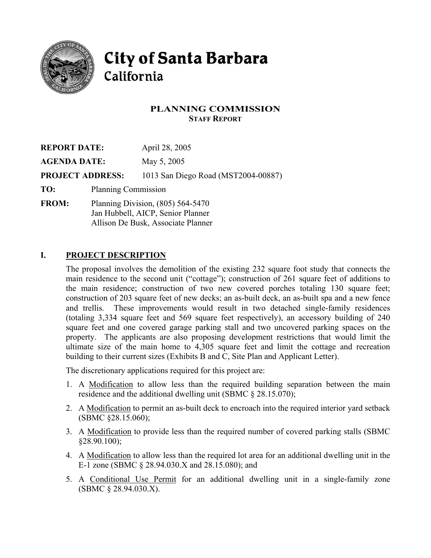

# **City of Santa Barbara** California

# **PLANNING COMMISSION STAFF REPORT**

| <b>REPORT DATE:</b>     |                                     | April 28, 2005                      |
|-------------------------|-------------------------------------|-------------------------------------|
| <b>AGENDA DATE:</b>     |                                     | May 5, 2005                         |
| <b>PROJECT ADDRESS:</b> |                                     | 1013 San Diego Road (MST2004-00887) |
| TO:                     | <b>Planning Commission</b>          |                                     |
| <b>FROM:</b>            | Planning Division, $(805)$ 564-5470 |                                     |

Jan Hubbell, AICP, Senior Planner Allison De Busk, Associate Planner

# **I. PROJECT DESCRIPTION**

The proposal involves the demolition of the existing 232 square foot study that connects the main residence to the second unit ("cottage"); construction of 261 square feet of additions to the main residence; construction of two new covered porches totaling 130 square feet; construction of 203 square feet of new decks; an as-built deck, an as-built spa and a new fence and trellis. These improvements would result in two detached single-family residences (totaling 3,334 square feet and 569 square feet respectively), an accessory building of 240 square feet and one covered garage parking stall and two uncovered parking spaces on the property. The applicants are also proposing development restrictions that would limit the ultimate size of the main home to 4,305 square feet and limit the cottage and recreation building to their current sizes (Exhibits B and C, Site Plan and Applicant Letter).

The discretionary applications required for this project are:

- 1. A Modification to allow less than the required building separation between the main residence and the additional dwelling unit (SBMC § 28.15.070);
- 2. A Modification to permit an as-built deck to encroach into the required interior yard setback (SBMC §28.15.060);
- 3. A Modification to provide less than the required number of covered parking stalls (SBMC §28.90.100);
- 4. A Modification to allow less than the required lot area for an additional dwelling unit in the E-1 zone (SBMC § 28.94.030.X and 28.15.080); and
- 5. A Conditional Use Permit for an additional dwelling unit in a single-family zone (SBMC § 28.94.030.X).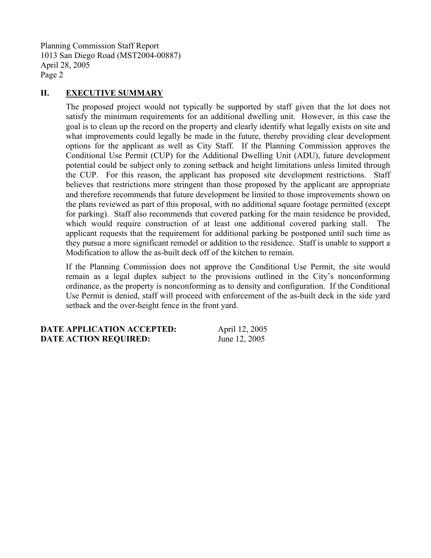#### **II. EXECUTIVE SUMMARY**

The proposed project would not typically be supported by staff given that the lot does not satisfy the minimum requirements for an additional dwelling unit. However, in this case the goal is to clean up the record on the property and clearly identify what legally exists on site and what improvements could legally be made in the future, thereby providing clear development options for the applicant as well as City Staff. If the Planning Commission approves the Conditional Use Permit (CUP) for the Additional Dwelling Unit (ADU), future development potential could be subject only to zoning setback and height limitations unless limited through the CUP. For this reason, the applicant has proposed site development restrictions. Staff believes that restrictions more stringent than those proposed by the applicant are appropriate and therefore recommends that future development be limited to those improvements shown on the plans reviewed as part of this proposal, with no additional square footage permitted (except for parking). Staff also recommends that covered parking for the main residence be provided, which would require construction of at least one additional covered parking stall. The applicant requests that the requirement for additional parking be postponed until such time as they pursue a more significant remodel or addition to the residence. Staff is unable to support a Modification to allow the as-built deck off of the kitchen to remain.

If the Planning Commission does not approve the Conditional Use Permit, the site would remain as a legal duplex subject to the provisions outlined in the City's nonconforming ordinance, as the property is nonconforming as to density and configuration. If the Conditional Use Permit is denied, staff will proceed with enforcement of the as-built deck in the side yard setback and the over-height fence in the front yard.

**DATE APPLICATION ACCEPTED:** April 12, 2005 **DATE ACTION REQUIRED:** June 12, 2005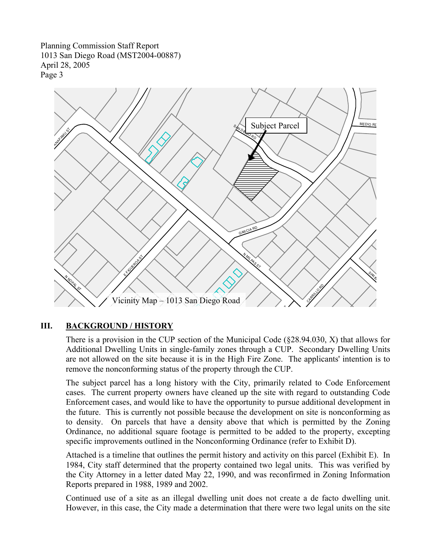

# **III. BACKGROUND / HISTORY**

There is a provision in the CUP section of the Municipal Code (§28.94.030, X) that allows for Additional Dwelling Units in single-family zones through a CUP. Secondary Dwelling Units are not allowed on the site because it is in the High Fire Zone. The applicants' intention is to remove the nonconforming status of the property through the CUP.

The subject parcel has a long history with the City, primarily related to Code Enforcement cases. The current property owners have cleaned up the site with regard to outstanding Code Enforcement cases, and would like to have the opportunity to pursue additional development in the future. This is currently not possible because the development on site is nonconforming as to density. On parcels that have a density above that which is permitted by the Zoning Ordinance, no additional square footage is permitted to be added to the property, excepting specific improvements outlined in the Nonconforming Ordinance (refer to Exhibit D).

Attached is a timeline that outlines the permit history and activity on this parcel (Exhibit E). In 1984, City staff determined that the property contained two legal units. This was verified by the City Attorney in a letter dated May 22, 1990, and was reconfirmed in Zoning Information Reports prepared in 1988, 1989 and 2002.

Continued use of a site as an illegal dwelling unit does not create a de facto dwelling unit. However, in this case, the City made a determination that there were two legal units on the site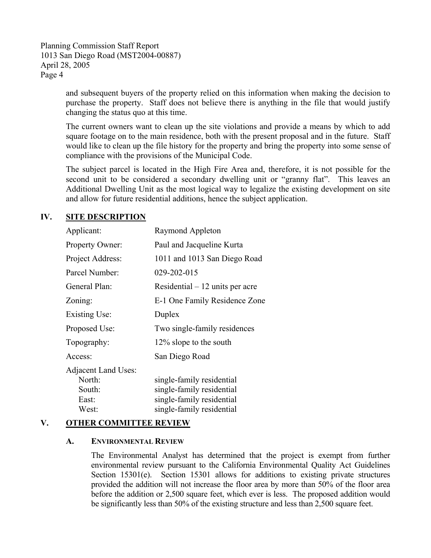> and subsequent buyers of the property relied on this information when making the decision to purchase the property. Staff does not believe there is anything in the file that would justify changing the status quo at this time.

> The current owners want to clean up the site violations and provide a means by which to add square footage on to the main residence, both with the present proposal and in the future. Staff would like to clean up the file history for the property and bring the property into some sense of compliance with the provisions of the Municipal Code.

> The subject parcel is located in the High Fire Area and, therefore, it is not possible for the second unit to be considered a secondary dwelling unit or "granny flat". This leaves an Additional Dwelling Unit as the most logical way to legalize the existing development on site and allow for future residential additions, hence the subject application.

### **IV. SITE DESCRIPTION**

| Raymond Appleton                 |  |
|----------------------------------|--|
| Paul and Jacqueline Kurta        |  |
| 1011 and 1013 San Diego Road     |  |
| 029-202-015                      |  |
| Residential $-12$ units per acre |  |
| E-1 One Family Residence Zone    |  |
| Duplex                           |  |
| Two single-family residences     |  |
| 12% slope to the south           |  |
| San Diego Road                   |  |
|                                  |  |
| single-family residential        |  |
| single-family residential        |  |
| single-family residential        |  |
| single-family residential        |  |
|                                  |  |

#### **V. OTHER COMMITTEE REVIEW**

#### **A. ENVIRONMENTAL REVIEW**

The Environmental Analyst has determined that the project is exempt from further environmental review pursuant to the California Environmental Quality Act Guidelines Section 15301(e). Section 15301 allows for additions to existing private structures provided the addition will not increase the floor area by more than 50% of the floor area before the addition or 2,500 square feet, which ever is less. The proposed addition would be significantly less than 50% of the existing structure and less than 2,500 square feet.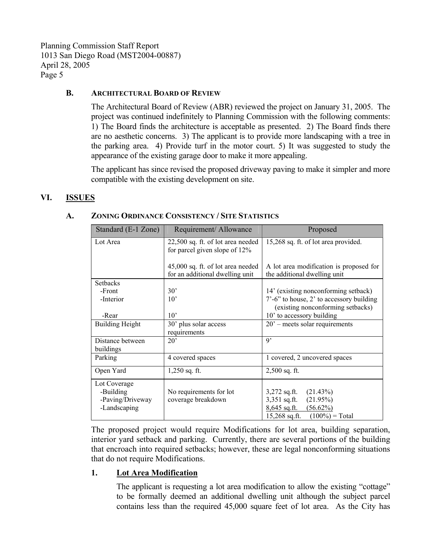#### **B. ARCHITECTURAL BOARD OF REVIEW**

The Architectural Board of Review (ABR) reviewed the project on January 31, 2005. The project was continued indefinitely to Planning Commission with the following comments: 1) The Board finds the architecture is acceptable as presented. 2) The Board finds there are no aesthetic concerns. 3) The applicant is to provide more landscaping with a tree in the parking area. 4) Provide turf in the motor court. 5) It was suggested to study the appearance of the existing garage door to make it more appealing.

The applicant has since revised the proposed driveway paving to make it simpler and more compatible with the existing development on site.

#### **VI. ISSUES**

| Standard (E-1 Zone)                                           | Requirement/Allowance                                                | Proposed                                                                                                                          |
|---------------------------------------------------------------|----------------------------------------------------------------------|-----------------------------------------------------------------------------------------------------------------------------------|
| Lot Area                                                      | 22,500 sq. ft. of lot area needed<br>for parcel given slope of 12%   | 15,268 sq. ft. of lot area provided.                                                                                              |
|                                                               | 45,000 sq. ft. of lot area needed<br>for an additional dwelling unit | A lot area modification is proposed for<br>the additional dwelling unit                                                           |
| <b>Setbacks</b>                                               |                                                                      |                                                                                                                                   |
| -Front                                                        | $30^{\circ}$                                                         | 14' (existing nonconforming setback)                                                                                              |
| -Interior                                                     | $10^{\circ}$                                                         | $7'-6$ " to house, 2' to accessory building<br>(existing nonconforming setbacks)                                                  |
| -Rear                                                         | $10^{\circ}$                                                         | 10' to accessory building                                                                                                         |
| <b>Building Height</b>                                        | 30' plus solar access<br>requirements                                | $20'$ – meets solar requirements                                                                                                  |
| Distance between<br>buildings                                 | $20^{\circ}$                                                         | $\mathbf{Q}$                                                                                                                      |
| Parking                                                       | 4 covered spaces                                                     | 1 covered, 2 uncovered spaces                                                                                                     |
| Open Yard                                                     | $1,250$ sq. ft.                                                      | $2,500$ sq. ft.                                                                                                                   |
| Lot Coverage<br>-Building<br>-Paving/Driveway<br>-Landscaping | No requirements for lot<br>coverage breakdown                        | $3,272$ sq.ft.<br>(21.43%)<br>$3,351$ sq.ft.<br>(21.95%)<br>$8,645$ sq.ft.<br>$(56.62\%)$<br>$15,268$ sq.ft.<br>$(100\%) = Total$ |

#### **A. ZONING ORDINANCE CONSISTENCY / SITE STATISTICS**

The proposed project would require Modifications for lot area, building separation, interior yard setback and parking. Currently, there are several portions of the building that encroach into required setbacks; however, these are legal nonconforming situations that do not require Modifications.

#### **1. Lot Area Modification**

The applicant is requesting a lot area modification to allow the existing "cottage" to be formally deemed an additional dwelling unit although the subject parcel contains less than the required 45,000 square feet of lot area. As the City has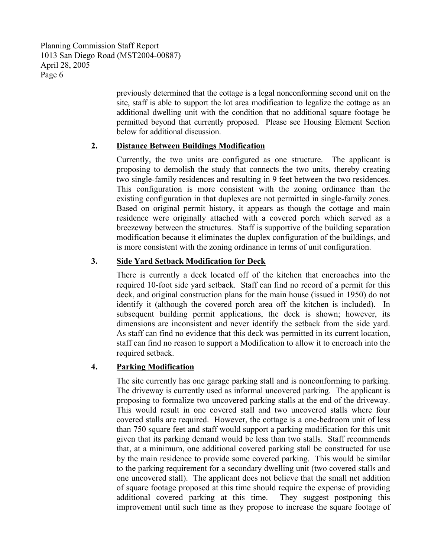> previously determined that the cottage is a legal nonconforming second unit on the site, staff is able to support the lot area modification to legalize the cottage as an additional dwelling unit with the condition that no additional square footage be permitted beyond that currently proposed. Please see Housing Element Section below for additional discussion.

### **2. Distance Between Buildings Modification**

Currently, the two units are configured as one structure. The applicant is proposing to demolish the study that connects the two units, thereby creating two single-family residences and resulting in 9 feet between the two residences. This configuration is more consistent with the zoning ordinance than the existing configuration in that duplexes are not permitted in single-family zones. Based on original permit history, it appears as though the cottage and main residence were originally attached with a covered porch which served as a breezeway between the structures. Staff is supportive of the building separation modification because it eliminates the duplex configuration of the buildings, and is more consistent with the zoning ordinance in terms of unit configuration.

# **3. Side Yard Setback Modification for Deck**

There is currently a deck located off of the kitchen that encroaches into the required 10-foot side yard setback. Staff can find no record of a permit for this deck, and original construction plans for the main house (issued in 1950) do not identify it (although the covered porch area off the kitchen is included). In subsequent building permit applications, the deck is shown; however, its dimensions are inconsistent and never identify the setback from the side yard. As staff can find no evidence that this deck was permitted in its current location, staff can find no reason to support a Modification to allow it to encroach into the required setback.

# **4. Parking Modification**

The site currently has one garage parking stall and is nonconforming to parking. The driveway is currently used as informal uncovered parking. The applicant is proposing to formalize two uncovered parking stalls at the end of the driveway. This would result in one covered stall and two uncovered stalls where four covered stalls are required. However, the cottage is a one-bedroom unit of less than 750 square feet and staff would support a parking modification for this unit given that its parking demand would be less than two stalls. Staff recommends that, at a minimum, one additional covered parking stall be constructed for use by the main residence to provide some covered parking. This would be similar to the parking requirement for a secondary dwelling unit (two covered stalls and one uncovered stall). The applicant does not believe that the small net addition of square footage proposed at this time should require the expense of providing additional covered parking at this time. They suggest postponing this improvement until such time as they propose to increase the square footage of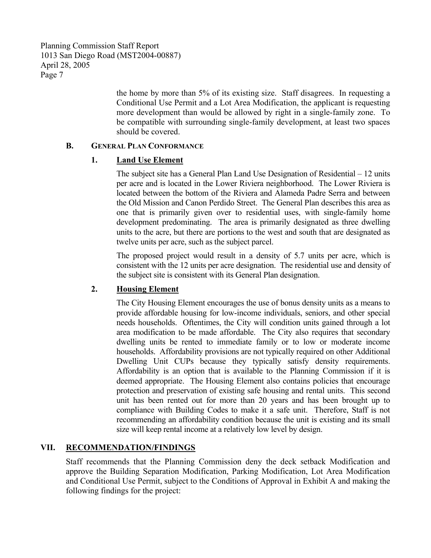the home by more than 5% of its existing size. Staff disagrees. In requesting a Conditional Use Permit and a Lot Area Modification, the applicant is requesting more development than would be allowed by right in a single-family zone. To be compatible with surrounding single-family development, at least two spaces should be covered.

### **B. GENERAL PLAN CONFORMANCE**

### **1. Land Use Element**

The subject site has a General Plan Land Use Designation of Residential – 12 units per acre and is located in the Lower Riviera neighborhood. The Lower Riviera is located between the bottom of the Riviera and Alameda Padre Serra and between the Old Mission and Canon Perdido Street. The General Plan describes this area as one that is primarily given over to residential uses, with single-family home development predominating. The area is primarily designated as three dwelling units to the acre, but there are portions to the west and south that are designated as twelve units per acre, such as the subject parcel.

The proposed project would result in a density of 5.7 units per acre, which is consistent with the 12 units per acre designation. The residential use and density of the subject site is consistent with its General Plan designation.

# **2. Housing Element**

The City Housing Element encourages the use of bonus density units as a means to provide affordable housing for low-income individuals, seniors, and other special needs households. Oftentimes, the City will condition units gained through a lot area modification to be made affordable. The City also requires that secondary dwelling units be rented to immediate family or to low or moderate income households. Affordability provisions are not typically required on other Additional Dwelling Unit CUPs because they typically satisfy density requirements. Affordability is an option that is available to the Planning Commission if it is deemed appropriate. The Housing Element also contains policies that encourage protection and preservation of existing safe housing and rental units. This second unit has been rented out for more than 20 years and has been brought up to compliance with Building Codes to make it a safe unit. Therefore, Staff is not recommending an affordability condition because the unit is existing and its small size will keep rental income at a relatively low level by design.

# **VII. RECOMMENDATION/FINDINGS**

Staff recommends that the Planning Commission deny the deck setback Modification and approve the Building Separation Modification, Parking Modification, Lot Area Modification and Conditional Use Permit, subject to the Conditions of Approval in Exhibit A and making the following findings for the project: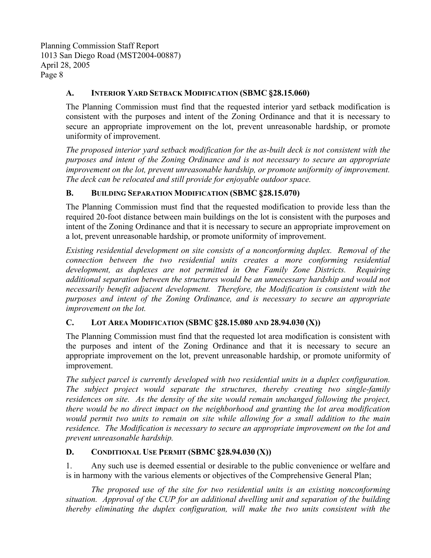# **A. INTERIOR YARD SETBACK MODIFICATION (SBMC §28.15.060)**

The Planning Commission must find that the requested interior yard setback modification is consistent with the purposes and intent of the Zoning Ordinance and that it is necessary to secure an appropriate improvement on the lot, prevent unreasonable hardship, or promote uniformity of improvement.

*The proposed interior yard setback modification for the as-built deck is not consistent with the purposes and intent of the Zoning Ordinance and is not necessary to secure an appropriate improvement on the lot, prevent unreasonable hardship, or promote uniformity of improvement. The deck can be relocated and still provide for enjoyable outdoor space.* 

# **B. BUILDING SEPARATION MODIFICATION (SBMC §28.15.070)**

The Planning Commission must find that the requested modification to provide less than the required 20-foot distance between main buildings on the lot is consistent with the purposes and intent of the Zoning Ordinance and that it is necessary to secure an appropriate improvement on a lot, prevent unreasonable hardship, or promote uniformity of improvement.

*Existing residential development on site consists of a nonconforming duplex. Removal of the connection between the two residential units creates a more conforming residential development, as duplexes are not permitted in One Family Zone Districts. Requiring additional separation between the structures would be an unnecessary hardship and would not necessarily benefit adjacent development. Therefore, the Modification is consistent with the purposes and intent of the Zoning Ordinance, and is necessary to secure an appropriate improvement on the lot.* 

# **C. LOT AREA MODIFICATION (SBMC §28.15.080 AND 28.94.030 (X))**

The Planning Commission must find that the requested lot area modification is consistent with the purposes and intent of the Zoning Ordinance and that it is necessary to secure an appropriate improvement on the lot, prevent unreasonable hardship, or promote uniformity of improvement.

*The subject parcel is currently developed with two residential units in a duplex configuration. The subject project would separate the structures, thereby creating two single-family residences on site. As the density of the site would remain unchanged following the project, there would be no direct impact on the neighborhood and granting the lot area modification would permit two units to remain on site while allowing for a small addition to the main residence. The Modification is necessary to secure an appropriate improvement on the lot and prevent unreasonable hardship.* 

# **D. CONDITIONAL USE PERMIT (SBMC §28.94.030 (X))**

1. Any such use is deemed essential or desirable to the public convenience or welfare and is in harmony with the various elements or objectives of the Comprehensive General Plan;

 *The proposed use of the site for two residential units is an existing nonconforming situation. Approval of the CUP for an additional dwelling unit and separation of the building thereby eliminating the duplex configuration, will make the two units consistent with the*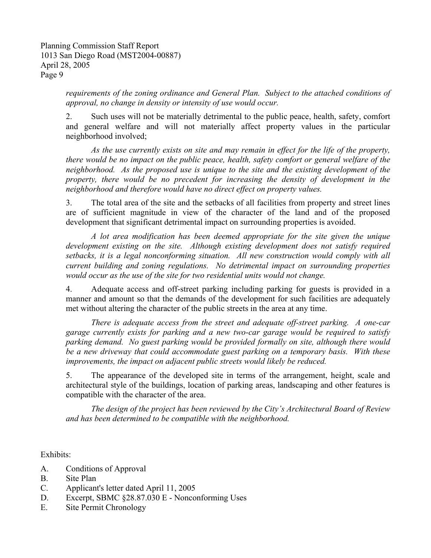*requirements of the zoning ordinance and General Plan. Subject to the attached conditions of approval, no change in density or intensity of use would occur.* 

2. Such uses will not be materially detrimental to the public peace, health, safety, comfort and general welfare and will not materially affect property values in the particular neighborhood involved;

 *As the use currently exists on site and may remain in effect for the life of the property, there would be no impact on the public peace, health, safety comfort or general welfare of the neighborhood. As the proposed use is unique to the site and the existing development of the property, there would be no precedent for increasing the density of development in the neighborhood and therefore would have no direct effect on property values.* 

3. The total area of the site and the setbacks of all facilities from property and street lines are of sufficient magnitude in view of the character of the land and of the proposed development that significant detrimental impact on surrounding properties is avoided.

 *A lot area modification has been deemed appropriate for the site given the unique development existing on the site. Although existing development does not satisfy required setbacks, it is a legal nonconforming situation. All new construction would comply with all current building and zoning regulations. No detrimental impact on surrounding properties would occur as the use of the site for two residential units would not change.* 

4. Adequate access and off-street parking including parking for guests is provided in a manner and amount so that the demands of the development for such facilities are adequately met without altering the character of the public streets in the area at any time.

 *There is adequate access from the street and adequate off-street parking. A one-car garage currently exists for parking and a new two-car garage would be required to satisfy parking demand. No guest parking would be provided formally on site, although there would be a new driveway that could accommodate guest parking on a temporary basis. With these improvements, the impact on adjacent public streets would likely be reduced.* 

5. The appearance of the developed site in terms of the arrangement, height, scale and architectural style of the buildings, location of parking areas, landscaping and other features is compatible with the character of the area.

 *The design of the project has been reviewed by the City's Architectural Board of Review and has been determined to be compatible with the neighborhood.* 

Exhibits:

- A. Conditions of Approval
- B. Site Plan
- C. Applicant's letter dated April 11, 2005
- D. Excerpt, SBMC §28.87.030 E Nonconforming Uses
- E. Site Permit Chronology